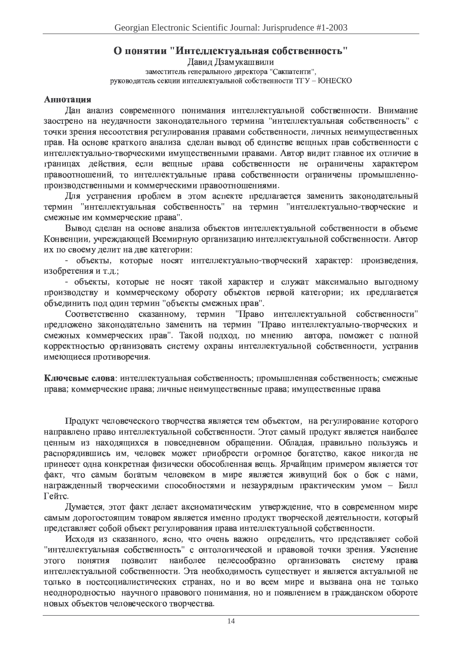# О понятии "Интеллектуальная собственность"

Давид Дзамукашвили заместитель генерального директора "Сакпатенти", руководитель секции интеллектуальной собственности ТГУ - ЮНЕСКО

## Аннотапия

Дан анализ современного понимания интеллектуальной собственности. Внимание заострено на неудачности законодательного термина "интеллектуальная собственность" с точки зрения несоотствия регулирования правами собственности, личных неимущественных прав. На основе краткого анализа сделан вывод об единстве вещных прав собственности с интеллектуально-творческими имущественными правами. Автор видит главное их отличие в границах действия, если вещные права собственности не ограничены характером правоотношений, то интеллектуальные права собственности ограничены промышленнопроизводственными и коммерческими правоотношениями.

Для устранения проблем в этом аспекте предлагается заменить законодательный термин "интеллектуальная собственность" на термин "интеллектуально-творческие и смежные им коммерческие права".

Вывод сделан на основе анализа объектов интеллектуальной собственности в объеме Конвенции, учреждающей Всемирную организацию интеллектуальной собственности. Автор их по своему делит на две категории:

- объекты, которые носят интеллектуально-творческий характер: произведения, изобретения и т.д.:

- объекты, которые не носят такой характер и служат максимально выгодному производству и коммерческому обороту объектов первой категории; их предлагается объединить под один термин "объекты смежных прав".

"Право интеллектуальной собственности" Соответственно сказанному, термин предложено законодательно заменить на термин "Право интеллектуально-творческих и смежных коммерческих прав". Такой подход, по мнению автора, поможет с полной корректностью организовать систему охраны интеллектуальной собственности, устранив имеющиеся противоречия.

Ключевые слова: интеллектуальная собственность; промышленная собственность; смежные права; коммерческие права; личные неимущественные права; имущественные права

Продукт человеческого творчества является тем объектом, на регулирование которого направлено право интеллектуальной собственности. Этот самый продукт является наиболее ценным из находящихся в повседневном обращении. Обладая, правильно пользуясь и распорядившись им, человек может приобрести огромное богатство, какое никогда не принесет одна конкретная физически обособленная вещь. Ярчайшим примером является тот факт, что самым богатым человеком в мире является живуший бок о бок с нами, награжденный творческими способностями и незаурядным практическим умом - Билл Гейтс.

Думается, этот факт делает аксиоматическим утверждение, что в современном мире самым дорогостоящим товаром является именно продукт творческой деятельности, который представляет собой объект регулирования права интеллектуальной собственности.

Исходя из сказанного, ясно, что очень важно определить, что представляет собой "интеллектуальная собственность" с онтологической и правовой точки зрения. Уяснение этого позволит наиболее целесообразно организовать понятия систему права интеллектуальной собственности. Эта необходимость существует и является актуальной не только в постсоциалистических странах, но и во всем мире и вызвана она не только неоднородностью научного правового понимания, но и появлением в гражданском обороте новых объектов человеческого творчества.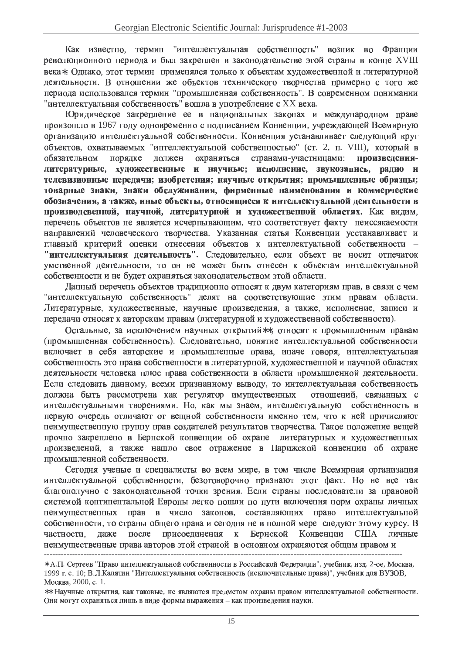Как известно, термин "интеллектуальная собственность" возник во Франции революционного периода и был закреплен в законодательстве этой страны в конце XVIII века\*. Олнако, этот термин применялся только к объектам художественной и литературной деятельности. В отношении же объектов технического творчества примерно с того же периода использовался термин "промышленная собственность". В современном понимании "интеллектуальная собственность" вошла в употребление с XX века.

Юридическое закрепление ее в национальных законах и международном праве произошло в 1967 году одновременно с подписанием Конвенции, учреждающей Всемирную организацию интеллектуальной собственности. Конвенция устанавливает следующий круг объектов, охватываемых "интеллектуальной собственностью" (ст. 2, п. VIII), который в обязательном порядке лолжен охраняться странами-участницами: произвелениялитературные, художественные и научные; исполнение, звукозапись, радио и телевизионные передачи; изобретения; научные открытия; промышленные образцы; товарные знаки, знаки обслуживания, фирменные наименования и коммерческие обозначения, а также, иные объекты, относящиеся к интеллектуальной деятельности в производсвенной, научной, литературной и художественной областях. Как видим, перечень объектов не является исчерпывающим, что соответствует факту неиссякаемости направлений человеческого творчества. Указанная статья Конвенции усстанавливает и главный критерий оценки отнесения объектов к интеллектуальной собственности -"интеллектуальная деятельность". Следовательно, если объект не носит отпечаток умственной деятельности, то он не может быть отнесен к объектам интеллектуальной собственности и не будет охраняться законодательством этой области.

Ланный перечень объектов тралиционно относят к лвум категориям прав, в связи с чем "интеллектуальную собственность" делят на соответствующие этим правам области. Литературные, художественные, научные произведения, а также, исполнение, записи и передачи относят к авторским правам (литературной и художественной собственности).

Остальные, за исключением научных открытий\*\*, относят к промышленным правам (промышленная собственность). Следовательно, понятие интеллектуальной собственности включает в себя авторские и промышленные права, иначе говоря, интеллектуальная собственность это права собственности в литературной, художественной и научной областях деятельности человека плюс права собственности в области промышленной деятельности. Если следовать данному, всеми признанному выводу, то интеллектуальная собственность должна быть рассмотрена как регулятор имущественных отношений, связанных с интеллектуальными творениями. Но, как мы знаем, интеллектуальную собственность в первую очерель отличают от вешной собственности именно тем, что к ней причисляют неимущественную группу прав создателей результатов творчества. Такое положение вещей прочно закреплено в Бернской конвенции об охране литературных и художественных произведений, а также нашло свое отражение в Парижской конвенции об охране промышленной собственности.

Сегодня ученые и специалисты во всем мире, в том числе Всемирная организация интеллектуальной собственности, безоговорочно признают этот факт. Но не все так благополучно с законодательной точки зрения. Если страны последователи за правовой системой континентальной Европы легко пошли по пути включения норм охраны личных неимущественных прав в число законов, составляющих право интеллектуальной собственности, то страны общего права и сегодня не в полной мере следуют этому курсу. В после присоединения к Бернской Конвенции частности, лаже США личные неимущественные права авторов этой страной в основном охраняются общим правом и

<sup>\*</sup> А.П. Сергеев "Право интеллектуальной собственности в Российской Федерации", учебник, изд. 2-ое, Москва, 1999 г. с. 10; В.Л.Калятин "Интеллектуальная собственность (исключительные права)", учебник для ВУЗОВ, Москва, 2000, с. 1.

<sup>\*\*</sup> Научные открытия, как таковые, не являются предметом охраны правом интеллектуальной собственности. Они могут охраняться лишь в виде формы выражения - как произведения науки.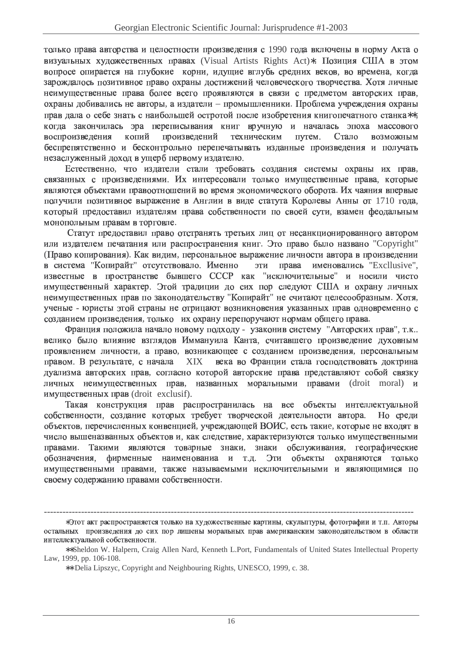только права авторства и целостности произведения с 1990 года включены в норму Акта о визуальных художественных правах (Visual Artists Rights Act)\*. Позиция США в этом вопросе опирается на глубокие корни, идущие вглубь средних веков, во времена, когда зарождалось позитивное право охраны достижений человеческого творчества. Хотя личные неимущественные права более всего проявляются в связи с предметом авторских прав, охраны добивались не авторы, а издатели - промышленники. Проблема учреждения охраны прав дала о себе знать с наибольшей остротой после изобретения книгопечатного станка\*\*. когда закончилась эра переписывания книг вручную и началась эпоха массового воспроизведения копий произведений техническим путем. Стало возможным беспрепятственно и бесконтрольно перепечатывать изданные произведения и получать незаслуженный доход в ущерб первому издателю.

Естественно, что издатели стали требовать создания системы охраны их прав, связанных с произведениями. Их интересовали только имущественные права, которые являются объектами правоотношений во время экономического оборота. Их чаяния впервые получили позитивное выражение в Англии в виде статута Королевы Анны от 1710 года, который предоставил издателям права собственности по своей сути, взамен феодальным монопольным правам в торговле.

Статут предоставил право отстранять третьих лиц от несанкционированного автором или издателем печатания или распространения книг. Это право было названо "Copyright" (Право копирования). Как видим, персональное выражение личности автора в произведении в система "Копирайт" отсутствовало. Именно ЭТИ права именовались "Excllusive", известные в пространстве бывшего СССР как "исключительные" и носили чисто имущественный характер. Этой традиции до сих пор следуют США и охрану личных неимущественных прав по законодательству "Копирайт" не считают целесообразным. Хотя, ученые - юристы этой страны не отрицают возникновения указанных прав одновременно с созданием произведения, только их охрану перепоручают нормам общего права.

Франция положила начало новому подходу - узаконив систему "Авторских прав", т.к.. велико было влияние взглядов Иммануила Канта, считавшего произведение духовным проявлением личности, а право, возникающее с созданием произведения, персональным правом. В результате, с начала **XIX** века во Франции стала господствовать доктрина дуализма авторских прав, согласно которой авторские права представляют собой связку личных неимущественных прав, названных моральными правами (droit moral) и имущественных прав (droit exclusif).

Такая конструкция прав распространилась на все объекты интеллектуальной собственности, создание которых требует творческой деятельности автора. Но среди объектов, перечисленных конвенцией, учреждающей ВОИС, есть такие, которые не входят в число вышеназванных объектов и, как следствие, характеризуются только имущественными Такими являются товарные знаки, знаки обслуживания, географические правами. фирменные наименованиа и т.д. обозначения, Эти объекты охраняются только имущественными правами, также называемыми исключительными и являющимися по своему содержанию правами собственности.

<sup>\*</sup>Этот акт распространяется только на художественные картины, скульптуры, фотографии и т.п. Авторы остальных произведения до сих пор лишены моральных прав американским законодательством в области интеллектуальной собственности.

<sup>\*\*</sup> Sheldon W. Halpern, Craig Allen Nard, Kenneth L.Port, Fundamentals of United States Intellectual Property Law, 1999, pp. 106-108.

<sup>\*\*</sup> Delia Lipszyc, Copyright and Neighbouring Rights, UNESCO, 1999, c. 38.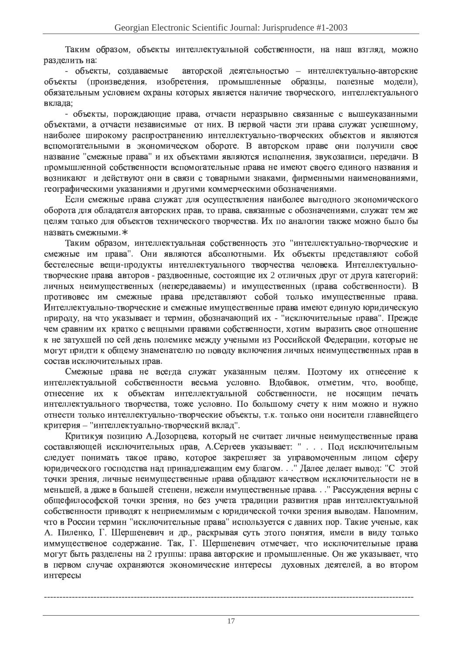Таким образом, объекты интеллектуальной собственности, на наш взгляд, можно разделить на:

авторской деятельностью - интеллектуально-авторские - объекты, создаваемые объекты (произведения, изобретения, промышленные образцы, полезные модели), обязательным условием охраны которых является наличие творческого, интеллектуального вклада:

- объекты, порождающие права, отчасти неразрывно связанные с вышеуказанными объектами, а отчасти независимые от них. В первой части эти права служат успешному, наиболее широкому распространению интеллектуально-творческих объектов и являются вспомогательными в экономическом обороте. В авторском праве они получили свое название "смежные права" и их объектами являются исполнения, звукозаписи, передачи. В промышленной собственности вспомогательные права не имеют своего елиного названия и возникают и действуют они в связи с товарными знаками, фирменными наименованиями, географическими указаниями и другими коммерческими обозначениями.

Если смежные права служат для осуществления наиболее выгодного экономического оборота для обладателя авторских прав, то права, связанные с обозначениями, служат тем же целям только для объектов технического творчества. Их по аналогии также можно было бы назвать смежными.\*

Таким образом, интеллектуальная собственность это "интеллектуально-творческие и смежные им права". Они являются абсолютными. Их объекты представляют собой бестелесные вещи-продукты интеллектуального творчества человека. Интеллектуальнотворческие права авторов - раздвоенные, состоящие их 2 отличных друг от друга категорий: личных неимущественных (непередаваемы) и имущественных (права собственности). В противовес им смежные права представляют собой только имущественные права. Интеллектуально-творческие и смежные имущественные права имеют единую юридическую природу, на что указывает и термин, обозначающий их - "исключительные права". Прежде чем сравним их кратко с вещными правами собственности, хотим выразить свое отношение к не затухшей по сей день полемике между учеными из Российской Федерации, которые не могут придти к общему знаменателю по поводу включения личных неимущественных прав в состав исключительных прав.

Смежные права не всегда служат указанным целям. Поэтому их отнесение к интеллектуальной собственности весьма условно. Вдобавок, отметим, что, вообще, отнесение их к объектам интеллектуальной собственности, не носящим печать интеллектуального творчества, тоже условно. По большому счету к ним можно и нужно отнести только интеллектуально-творческие объекты, т.к. только они носители главнейщего критерия - "интеллектуально-творческий вклад".

Критикуя позицию А.Дозорцева, который не считает личные неимущественные права составляющей исключительных прав. А.Сергеев указывает: " . . . Под исключительным следует понимать такое право, которое закрепляет за управомоченным лицом сферу юридического господства над принадлежащим ему благом. . ." Далее делает вывод: "С этой точки зрения, личные неимущественные права обладают качеством исключительности не в меньшей, а даже в большей степени, нежели имущественные права. . . " Рассуждения верны с общефилософской точки зрения, но без учета традиции развития прав интеллектуальной собственности приводят к неприемлимым с юридической точки зрения выводам. Напомним, что в России термин "исключительные права" используется с давних пор. Такие ученые, как А. Пиленко, Г. Шершеневич и др., раскрывая суть этого понятия, имели в виду только иммущественое содержание. Так, Г. Шершеневич отмечает, что исключительные права могут быть разделены на 2 группы: права авторские и промышленные. Он же указывает, что в первом случае охраняются экономические интересы духовных деятелей, а во втором интересы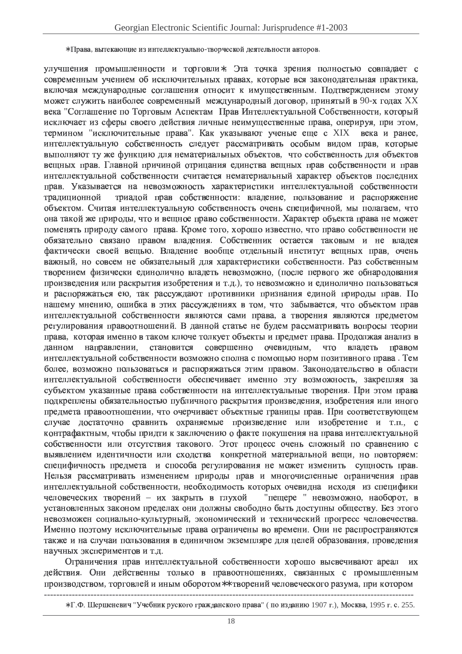#### \* Права, вытекающие из интеллектуально-творческой деятельности авторов.

улучшения промышленности и торговли\*. Эта точка зрения полностью совпадает с современным учением об исключительных правах, которые вся законодательная практика, включая международные соглашения относит к имущественным. Подтверждением этому может служить наиболее современный международный договор, принятый в 90-х годах XX века "Соглашение по Торговым Аспектам Прав Интеллектуальной Собственности, который исключает из сферы своего действия личные неимущественные права, оперируя, при этом, термином "исключительные права". Как указывают ученые еще с XIX века и ранее, интеллектуальную собственность следует рассматривать особым видом прав, которые выполняют ту же функцию для нематериальных объектов, что собственность для объектов вещных прав. Главной причиной отрицания единства вещных прав собственности и прав интеллектуальной собственности считается нематериальный характер объектов последних прав. Указывается на невозможность характеристики интеллектуальной собственности триадой прав собственности: владение, пользование и распоряжение традиционной объектом. Считая интеллектуальную собственность очень специфичной, мы полагаем, что она такой же природы, что и вещное право собственности. Характер объекта права не может поменять природу самого права. Кроме того, хорошо известно, что право собственности не обязательно связано правом владения. Собственник остается таковым и не владея фактически своей вещью. Владение вообще отдельный институт вещных прав, очень важный, но совсем не обязательный для характеристики собственности. Раз собственным творением физически единолично владеть невозможно, (после первого же обнародования произведения или раскрытия изобретения и т.д.), то невозможно и единолично пользоваться и распоряжаться ею, так рассуждают противники признания единой природы прав. По нашему мнению, ошибка в этих рассуждениях в том, что забывается, что объектом прав интеллектуальной собственности являются сами права, а творения являются предметом регулирования правоотношений. В данной статье не будем рассматривать вопросы теории права, которая именно в таком ключе толкует объекты и предмет права. Продолжая анализ в направлении, становится совершенно очевидным, ланном что владеть правом интеллектуальной собственности возможно сполна с помощью норм позитивного права. Тем более, возможно пользоваться и распоряжаться этим правом. Законодательство в области интеллектуальной собственности обеспечивает именно эту возможность, закрепляя за субъектом указанные права собственности на интеллектуальные творения. При этом права подкреплены обязательностью публичного раскрытия произведения, изобретения или иного предмета правоотношении, что очерчивает объектные границы прав. При соответствующем случае лостаточно сравнить охраняемые произвеление или изобретение и т.п., с контрафактным, чтобы придти к заключению о факте покушения на права интеллектуальной собственности или отсутствия такового. Этот процесс очень сложный по сравнению с выявлением идентичности или сходства конкретной материальной вещи, но повторяем: специфичность предмета и способа регулирования не может изменить сущность прав. Нельзя рассматривать изменением природы прав и многочисленные ограничения прав интеллектуальной собственности, необходимость которых очевидна исходя из специфики "пещере " невозможно, наоборот. в человеческих творений - их закрыть в глухой установленных законом пределах они должны свободно быть доступны обществу. Без этого невозможен социально-культурный, экономический и технический прогресс человечества. Именно поэтому исключительные права ограничены во времени. Они не распространяются также и на случаи пользования в единичном экземпляре для целей образования, проведения научных экспериментов и т.д.

Ограничения прав интеллектуальной собственности хорошо высвечивают ареал их действия. Они действенны только в правоотношениях, связанных с промышленным производством, торговлей и иным оборотом\*\* творений человеческого разума, при котором

<sup>\*</sup> Г.Ф. Шершеневич "Учебник руского гражданского права" (по изданию 1907 г.), Москва, 1995 г. с. 255.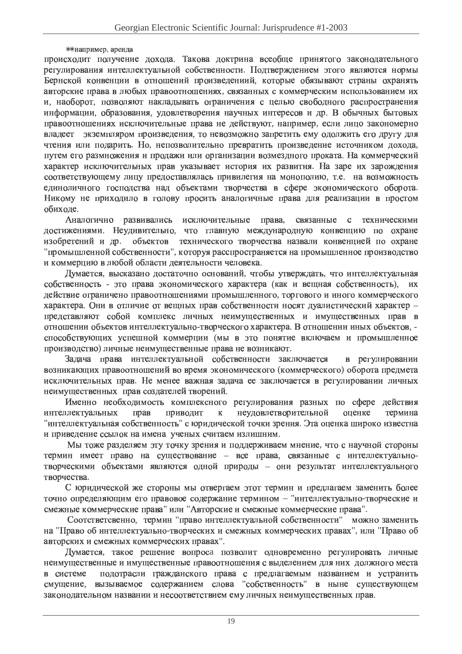## $**$  например, аренла

происходит получение дохода. Такова доктрина всеобще принятого законодательного регулирования интеллектуальной собственности. Подтверждением этого являются нормы Бернской конвенции в отношений произведениий, которые обязывают страны охранять авторские права в любых правоотношениях, связанных с коммерческим использованием их и, наоборот, позволяют накладывать ограничения с целью свободного распространения информации, образования, удовлетворения научных интересов и др. В обычных бытовых правоотношениях исключительные права не действуют, например, если лицо закономерно владеет экземпляром произведения, то невозможно запретить ему одолжить его другу для чтения или подарить. Но, непозволительно превратить произведение источником дохода, путем его размножения и продажи или организации возмездного проката. На коммерческий характер исключительных прав указывает история их развития. На заре их зарождения соответствующему лицу предоставлялась привилегия на монополию, т.е. на возможность единоличного господства над объектами творчества в сфере экономического оборота. Никому не приходило в голову просить аналогичные права для реализации в простом обиходе.

Аналогично развивались исключительные права. связанные с техническими достижениями. Неудивительно, что главную международную конвенцию по охране изобретений и др. объектов технического творчества назвали конвенцией по охране "промышленной собственности", которуя расспространяется на промышленное производство и коммерцию в любой области деятельности человека.

Думается, высказано достаточно оснований, чтобы утверждать, что интеллектуальная собственность - это права экономического характера (как и вещная собственность), их действие ограничено правоотношениями промышленного, торгового и иного коммерческого характера. Они в отличие от вещных прав собственности носят дуалистический характер представляют собой комплекс личных неимущественных и имущественных прав в отношении объектов интеллектуально-творческого характера. В отношении иных объектов, способствующих успешной коммерции (мы в это понятие включаем и промышленное производство) личные неимущественные права не возникают.

Задача права интеллектуальной собственности заключается в регулировании возникающих правоотношений во время экономического (коммерческого) оборота предмета исключительных прав. Не менее важная задача ее заключается в регулировании личных неимущественных прав создателей творений.

Именно необходимость комплексного регулирования разных по сфере действия интеллектуальных прав приводит  $\mathbf{K}$ неудовлетворительной оценке термина "интеллектуальная собственность" с юридической точки зрения. Эта оценка широко известна и приведение ссылок на имена ученых считаем излишним.

Мы тоже разделяем эту точку зрения и поддерживаем мнение, что с научной стороны термин имеет право на существование - все права, связанные с интеллектуальнотворческими объектами являются одной природы - они результат интеллектуального творчества.

С юридической же стороны мы отвергаем этот термин и предлагаем заменить более точно определяющим его правовое содержание термином - "интеллектуально-творческие и смежные коммерческие права" или "Авторские и смежные коммерческие права".

Соотстветсвенно, термин "право интеллектуальной собственности" можно заменить на "Право об интеллектуально-творческих и смежных коммерческих правах", или "Право об авторских и смежных коммерческих правах".

Думается, такое решение вопроса позволит одновременно регулировать личные неимущественные и имущественные правоотношения с выделением для них должного места в системе подотрасли гражданского права с предлагаемым названием и устранить смущение, вызываемое содержанием слова "собственность" в ныне существующем законодательном названии и несоответствием ему личных неимущественных прав.